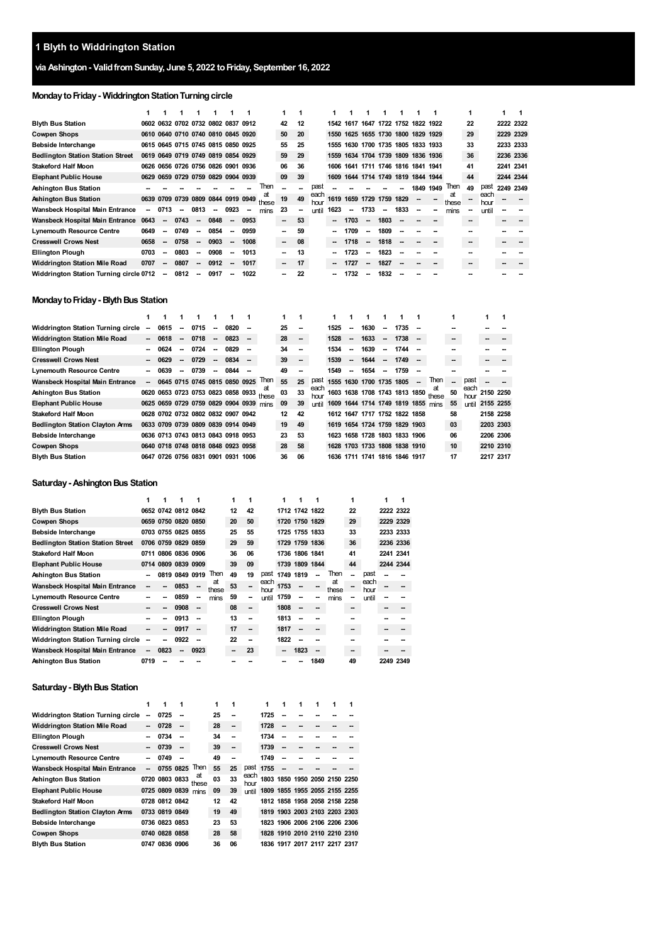# **via Ashington- ValidfromSunday, June 5, 2022 toFriday, September 16, 2022**

# **Monday to Friday - Widdrington Station Turning circle**

|                                          |      |                          |                          |                                    |        |                          |      |             |    |    |              | 1    |                                    |                          |                               |                          |      |      |             |    |              |           |
|------------------------------------------|------|--------------------------|--------------------------|------------------------------------|--------|--------------------------|------|-------------|----|----|--------------|------|------------------------------------|--------------------------|-------------------------------|--------------------------|------|------|-------------|----|--------------|-----------|
| <b>Blyth Bus Station</b>                 |      |                          |                          | 0602 0632 0702 0732 0802 0837 0912 |        |                          |      |             | 42 | 12 |              |      | 1542 1617 1647 1722 1752 1822 1922 |                          |                               |                          |      |      |             | 22 |              | 2222 2322 |
| <b>Cowpen Shops</b>                      |      |                          |                          | 0610 0640 0710 0740 0810 0845 0920 |        |                          |      |             | 50 | 20 |              |      | 1550 1625 1655 1730 1800 1829 1929 |                          |                               |                          |      |      |             | 29 |              | 2229 2329 |
| Bebside Interchange                      |      |                          |                          | 0615 0645 0715 0745 0815 0850 0925 |        |                          |      |             | 55 | 25 |              |      | 1555 1630 1700 1735 1805 1833 1933 |                          |                               |                          |      |      |             | 33 |              | 2233 2333 |
| <b>Bedlington Station Station Street</b> |      |                          |                          | 0619 0649 0719 0749 0819 0854 0929 |        |                          |      |             | 59 | 29 |              |      | 1559 1634 1704 1739 1809 1836 1936 |                          |                               |                          |      |      |             | 36 |              | 2236 2336 |
| <b>Stakeford Half Moon</b>               |      |                          |                          | 0626 0656 0726 0756 0826 0901 0936 |        |                          |      |             | 06 | 36 |              |      | 1606 1641 1711 1746 1816 1841 1941 |                          |                               |                          |      |      |             | 41 |              | 2241 2341 |
| <b>Elephant Public House</b>             |      |                          |                          | 0629 0659 0729 0759 0829 0904 0939 |        |                          |      |             | 09 | 39 |              | 1609 |                                    |                          | 1644 1714 1749 1819 1844 1944 |                          |      |      |             | 44 |              | 2244 2344 |
| Ashington Bus Station                    |      |                          |                          |                                    |        |                          |      | Then        |    | -  | past         |      |                                    |                          |                               |                          | 1849 | 1949 | Then        | 49 | past         | 2249 2349 |
| Ashington Bus Station                    |      |                          |                          | 0639 0709 0739 0809 0844 0919 0949 |        |                          |      | at<br>these | 19 | 49 | each<br>hour |      | 1619 1659 1729 1759 1829           |                          |                               |                          |      |      | at<br>these |    | each<br>hour |           |
| Wansbeck Hospital Main Entrance          | --   | 0713                     | $\overline{\phantom{a}}$ | 0813                               | $\sim$ | 0923                     |      | mins        | 23 | -  | until        | 1623 | -                                  | 1733                     | $\overline{\phantom{a}}$      | 1833                     | -    |      | mins        |    | until        |           |
| Wansbeck Hospital Main Entrance          | 0643 | $\overline{\phantom{a}}$ | 0743                     | $\overline{\phantom{a}}$           | 0848   | $\overline{\phantom{a}}$ | 0953 |             | -  | 53 |              | -    | 1703                               | $\overline{\phantom{a}}$ | 1803                          |                          |      |      |             |    |              |           |
| <b>Lynemouth Resource Centre</b>         | 0649 | $\overline{\phantom{a}}$ | 0749                     | --                                 | 0854   | $\overline{\phantom{a}}$ | 0959 |             | -  | 59 |              | -    | 1709                               | $\overline{\phantom{a}}$ | 1809                          |                          |      |      |             |    |              |           |
| <b>Cresswell Crows Nest</b>              | 0658 | --                       | 0758                     | --                                 | 0903   | $\overline{\phantom{a}}$ | 1008 |             | -  | 08 |              | -    | 1718                               | $\overline{\phantom{a}}$ | 1818                          | $\overline{\phantom{a}}$ |      |      |             |    |              |           |
| <b>Ellington Plough</b>                  | 0703 | $\overline{\phantom{a}}$ | 0803                     | $\overline{\phantom{a}}$           | 0908   | $\overline{\phantom{a}}$ | 1013 |             |    | 13 |              | -    | 1723                               | $\overline{\phantom{a}}$ | 1823                          |                          |      |      |             |    |              |           |
| <b>Widdrington Station Mile Road</b>     | 0707 | $\overline{\phantom{a}}$ | 0807                     | $\overline{\phantom{a}}$           | 0912   | $\overline{\phantom{a}}$ | 1017 |             | -  | 17 |              | -    | 1727                               | -                        | 1827                          |                          |      |      |             |    |              |           |
| Widdrington Station Turning circle 0712  |      | -                        | 0812                     | --                                 | 0917   |                          | 1022 |             |    | 22 |              | --   | 1732                               | $\overline{\phantom{a}}$ | 1832                          |                          |      |      |             |    |              |           |

#### **Monday to Friday - Blyth Bus Station**

| Widdrington Station Turning circle     | --     | 0615                | -                        | 0715                               | -                        | 0820 |      |                                                | 25 | $\overline{\phantom{a}}$ |              | 1525 | -  | 1630                               | -                        | 1735      |                          |                                     | -- |              |           |           |
|----------------------------------------|--------|---------------------|--------------------------|------------------------------------|--------------------------|------|------|------------------------------------------------|----|--------------------------|--------------|------|----|------------------------------------|--------------------------|-----------|--------------------------|-------------------------------------|----|--------------|-----------|-----------|
| <b>Widdrington Station Mile Road</b>   | $\sim$ | 0618                | $\overline{\phantom{a}}$ | 0718                               | $\overline{\phantom{a}}$ | 0823 |      |                                                | 28 | $\overline{\phantom{a}}$ |              | 1528 | -  | 1633                               | $\overline{\phantom{a}}$ | 1738      | $\overline{\phantom{a}}$ |                                     | -- |              |           |           |
| <b>Ellington Plough</b>                |        | 0624                | -                        | 0724                               | --                       | 0829 |      |                                                | 34 |                          |              | 1534 | -- | 1639                               | $\overline{\phantom{a}}$ | 1744      |                          |                                     |    |              |           |           |
| <b>Cresswell Crows Nest</b>            |        | 0629                | $\overline{\phantom{a}}$ | 0729                               | -                        | 0834 |      |                                                | 39 | $\overline{\phantom{a}}$ |              | 1539 | -  | 1644                               | $\overline{\phantom{a}}$ | 1749      | $\overline{\phantom{a}}$ |                                     | -- |              |           |           |
| <b>Lynemouth Resource Centre</b>       |        | 0639                | -                        | 0739                               | -                        | 0844 |      |                                                | 49 |                          |              | 1549 | -  | 1654                               | -                        | 1759      |                          |                                     |    |              |           |           |
| Wansbeck Hospital Main Entrance        |        |                     |                          | 0645 0715 0745 0815 0850 0925      |                          |      |      | <b>Then</b>                                    | 55 | 25                       | past         |      |    | 1555 1630 1700 1735 1805           |                          |           | -                        | Then                                | -- | past         |           |           |
| Ashington Bus Station                  |        |                     |                          |                                    |                          |      |      | at<br>0620 0653 0723 0753 0823 0858 0933 these | 03 | 33                       | each<br>hour |      |    |                                    |                          |           |                          | 1603 1638 1708 1743 1813 1850 these | 50 | each<br>hour |           | 2150 2250 |
| <b>Elephant Public House</b>           |        |                     |                          |                                    |                          |      |      | 0625 0659 0729 0759 0829 0904 0939 mins        | 09 | 39                       | <b>until</b> |      |    | 1609 1644 1714 1749 1819 1855 mins |                          |           |                          |                                     | 55 | until        | 2155 2255 |           |
| <b>Stakeford Half Moon</b>             |        |                     |                          | 0628 0702 0732 0802 0832 0907 0942 |                          |      |      |                                                | 12 | 42                       |              |      |    | 1612 1647 1717 1752 1822 1858      |                          |           |                          |                                     | 58 |              | 2158 2258 |           |
| <b>Bedlington Station Clayton Arms</b> |        |                     |                          | 0633 0709 0739 0809 0839 0914 0949 |                          |      |      |                                                | 19 | 49                       |              |      |    | 1619 1654 1724 1759                |                          | 1829 1903 |                          |                                     | 03 |              | 2203 2303 |           |
| Bebside Interchange                    |        |                     |                          | 0636 0713 0743 0813 0843 0918 0953 |                          |      |      |                                                | 23 | 53                       |              | 1623 |    | 1658 1728 1803 1833 1906           |                          |           |                          |                                     | 06 |              | 2206 2306 |           |
| <b>Cowpen Shops</b>                    |        |                     |                          | 0640 0718 0748 0818 0848 0923 0958 |                          |      |      |                                                | 28 | 58                       |              |      |    | 1628 1703 1733 1808 1838 1910      |                          |           |                          |                                     | 10 |              | 2210 2310 |           |
| <b>Blyth Bus Station</b>               |        | 0647 0726 0756 0831 |                          |                                    | 0901 0931                |      | 1006 |                                                | 36 | 06                       |              | 1636 |    | 1711 1741 1816                     |                          | 1846 1917 |                          |                                     | 17 |              | 2217 2317 |           |

#### **Saturday - Ashington Bus Station**

|                                           |                          |      |                     |      |             | 1  |    |              | 1    |                |      |             |    |              |           |           |
|-------------------------------------------|--------------------------|------|---------------------|------|-------------|----|----|--------------|------|----------------|------|-------------|----|--------------|-----------|-----------|
| <b>Blyth Bus Station</b>                  |                          |      | 0652 0742 0812 0842 |      |             | 12 | 42 |              |      | 1712 1742 1822 |      |             | 22 |              |           | 2222 2322 |
| <b>Cowpen Shops</b>                       |                          |      | 0659 0750 0820 0850 |      |             | 20 | 50 |              |      | 1720 1750 1829 |      |             | 29 |              |           | 2229 2329 |
| Bebside Interchange                       |                          |      | 0703 0755 0825 0855 |      |             | 25 | 55 |              |      | 1725 1755 1833 |      |             | 33 |              |           | 2233 2333 |
| <b>Bedlington Station Station Street</b>  |                          |      | 0706 0759 0829 0859 |      |             | 29 | 59 |              |      | 1729 1759 1836 |      |             | 36 |              |           | 2236 2336 |
| <b>Stakeford Half Moon</b>                |                          |      | 0711 0806 0836 0906 |      |             | 36 | 06 |              |      | 1736 1806 1841 |      |             | 41 |              | 2241 2341 |           |
| <b>Elephant Public House</b>              |                          |      | 0714 0809 0839 0909 |      |             | 39 | 09 |              |      | 1739 1809 1844 |      |             | 44 |              |           | 2244 2344 |
| Ashington Bus Station                     |                          |      | 0819 0849 0919      |      | Then        | 49 | 19 | past         |      | 1749 1819      |      | Then        |    | past         |           |           |
| Wansbeck Hospital Main Entrance           |                          |      | 0853                |      | at<br>these | 53 |    | each<br>hour | 1753 |                |      | at<br>these |    | each<br>hour |           |           |
| <b>Lynemouth Resource Centre</b>          |                          |      | 0859                | --   | mins        | 59 |    | until        | 1759 |                |      | mins        |    | until        |           |           |
| <b>Cresswell Crows Nest</b>               |                          |      | 0908                |      |             | 08 |    |              | 1808 |                |      |             |    |              |           |           |
| <b>Ellington Plough</b>                   |                          |      | 0913                |      |             | 13 |    |              | 1813 |                |      |             |    |              |           |           |
| <b>Widdrington Station Mile Road</b>      |                          |      | 0917                |      |             | 17 |    |              | 1817 |                |      |             |    |              |           |           |
| <b>Widdrington Station Turning circle</b> |                          |      | 0922                |      |             | 22 |    |              | 1822 |                |      |             |    |              |           |           |
| Wansbeck Hospital Main Entrance           | $\overline{\phantom{a}}$ | 0823 | --                  | 0923 |             | -- | 23 |              | -    | 1823           | --   |             | -- |              |           |           |
| Ashington Bus Station                     | 0719                     |      |                     |      |             |    |    |              |      |                | 1849 |             | 49 |              |           | 2249 2349 |

# **Saturday - Blyth Bus Station**

|                                           | 1                        | 1              |           |             | 1  |    |              | 1         | 1 | 1 | 1 |                               | 1                             |
|-------------------------------------------|--------------------------|----------------|-----------|-------------|----|----|--------------|-----------|---|---|---|-------------------------------|-------------------------------|
| <b>Widdrington Station Turning circle</b> | --                       | 0725           |           |             | 25 | -- |              | 1725      |   |   |   |                               |                               |
| <b>Widdrington Station Mile Road</b>      | $\overline{\phantom{a}}$ | 0728           | --        |             | 28 | -- |              | 1728      |   |   |   |                               |                               |
| <b>Ellington Plough</b>                   |                          | 0734           | --        |             | 34 | -- |              | 1734      |   |   |   |                               |                               |
| <b>Cresswell Crows Nest</b>               | --                       | 0739           | --        |             | 39 | -- |              | 1739      |   |   |   |                               |                               |
| <b>Lynemouth Resource Centre</b>          | --                       | 0749           | --        |             | 49 | -- |              | 1749      |   |   |   |                               |                               |
| Wansbeck Hospital Main Entrance           |                          |                | 0755 0825 | Then        | 55 | 25 |              | past 1755 |   |   |   |                               |                               |
| Ashington Bus Station                     |                          | 0720 0803 0833 |           | at<br>these | 03 | 33 | each<br>hour |           |   |   |   | 1803 1850 1950 2050 2150 2250 |                               |
| <b>Elephant Public House</b>              |                          | 0725 0809 0839 |           | mins        | 09 | 39 | until        |           |   |   |   | 1809 1855 1955 2055 2155 2255 |                               |
| <b>Stakeford Half Moon</b>                |                          | 0728 0812 0842 |           |             | 12 | 42 |              |           |   |   |   | 1812 1858 1958 2058 2158 2258 |                               |
| <b>Bedlington Station Clayton Arms</b>    |                          | 0733 0819 0849 |           |             | 19 | 49 |              |           |   |   |   | 1819 1903 2003 2103 2203 2303 |                               |
| Bebside Interchange                       |                          | 0736 0823 0853 |           |             | 23 | 53 |              |           |   |   |   | 1823 1906 2006 2106 2206 2306 |                               |
| <b>Cowpen Shops</b>                       |                          | 0740 0828 0858 |           |             | 28 | 58 |              |           |   |   |   |                               | 1828 1910 2010 2110 2210 2310 |
| <b>Blyth Bus Station</b>                  |                          | 0747 0836 0906 |           |             | 36 | 06 |              |           |   |   |   | 1836 1917 2017 2117 2217 2317 |                               |